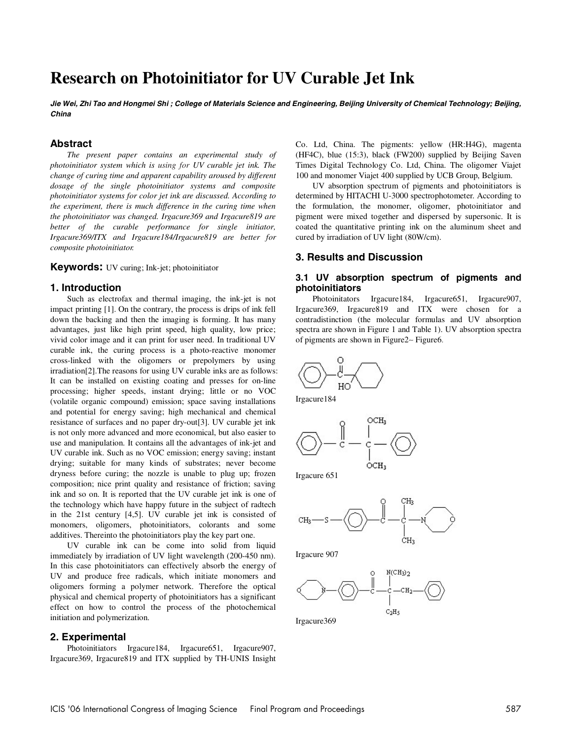# **Research on Photoinitiator for UV Curable Jet Ink**

**Jie Wei, Zhi Tao and Hongmei Shi ; College of Materials Science and Engineering, Beijing University of Chemical Technology; Beijing, China**

# **Abstract**

*The present paper contains an experimental study of photoinitiator system which is using for UV curable jet ink. The change of curing time and apparent capability aroused by different dosage of the single photoinitiator systems and composite photoinitiator systems for color jet ink are discussed. According to the experiment, there is much difference in the curing time when the photoinitiator was changed. Irgacure369 and Irgacure819 are better of the curable performance for single initiator, Irgacure369/ITX and Irgacure184/Irgacure819 are better for composite photoinitiator.* 

**Keywords:** UV curing; Ink-jet; photoinitiator

## **1. Introduction**

Such as electrofax and thermal imaging, the ink-jet is not impact printing [1]. On the contrary, the process is drips of ink fell down the backing and then the imaging is forming. It has many advantages, just like high print speed, high quality, low price; vivid color image and it can print for user need. In traditional UV curable ink, the curing process is a photo-reactive monomer cross-linked with the oligomers or prepolymers by using irradiation[2].The reasons for using UV curable inks are as follows: It can be installed on existing coating and presses for on-line processing; higher speeds, instant drying; little or no VOC (volatile organic compound) emission; space saving installations and potential for energy saving; high mechanical and chemical resistance of surfaces and no paper dry-out[3]. UV curable jet ink is not only more advanced and more economical, but also easier to use and manipulation. It contains all the advantages of ink-jet and UV curable ink. Such as no VOC emission; energy saving; instant drying; suitable for many kinds of substrates; never become dryness before curing; the nozzle is unable to plug up; frozen composition; nice print quality and resistance of friction; saving ink and so on. It is reported that the UV curable jet ink is one of the technology which have happy future in the subject of radtech in the 21st century [4,5]. UV curable jet ink is consisted of monomers, oligomers, photoinitiators, colorants and some additives. Thereinto the photoinitiators play the key part one.

UV curable ink can be come into solid from liquid immediately by irradiation of UV light wavelength (200-450 nm). In this case photoinitiators can effectively absorb the energy of UV and produce free radicals, which initiate monomers and oligomers forming a polymer network. Therefore the optical physical and chemical property of photoinitiators has a significant effect on how to control the process of the photochemical initiation and polymerization.

#### **2. Experimental**

Photoinitiators Irgacure184, Irgacure651, Irgacure907, Irgacure369, Irgacure819 and ITX supplied by TH-UNIS Insight Co. Ltd, China. The pigments: yellow (HR:H4G), magenta (HF4C), blue (15:3), black (FW200) supplied by Beijing Saven Times Digital Technology Co. Ltd, China. The oligomer Viajet 100 and monomer Viajet 400 supplied by UCB Group, Belgium.

UV absorption spectrum of pigments and photoinitiators is determined by HITACHI U-3000 spectrophotometer. According to the formulation, the monomer, oligomer, photoinitiator and pigment were mixed together and dispersed by supersonic. It is coated the quantitative printing ink on the aluminum sheet and cured by irradiation of UV light (80W/cm).

# **3. Results and Discussion**

## **3.1 UV absorption spectrum of pigments and photoinitiators**

Photoinitators Irgacure184, Irgacure651, Irgacure907, Irgacure369, Irgacure819 and ITX were chosen for a contradistinction (the molecular formulas and UV absorption spectra are shown in Figure 1 and Table 1). UV absorption spectra of pigments are shown in Figure2∼ Figure6.



Irgacure184



Irgacure 651



Irgacure 907



Irgacure369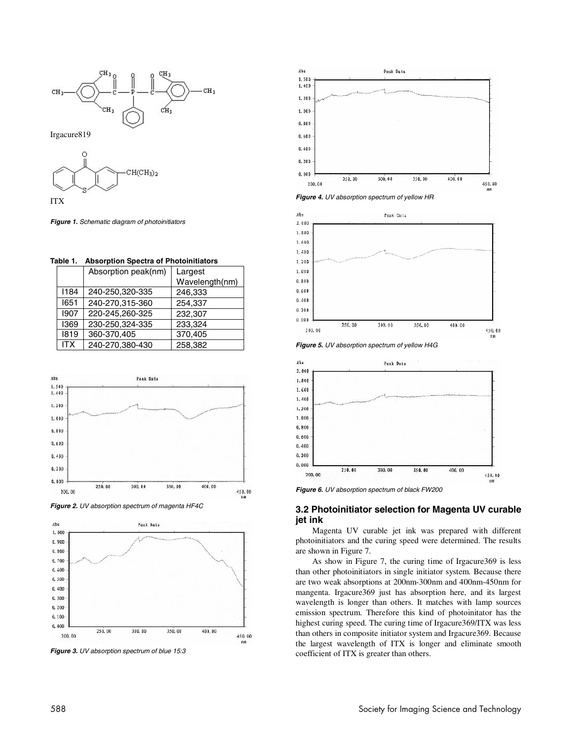

Irgacure819



**Figure 1.** Schematic diagram of photoinitiators

**Table 1. Absorption Spectra of Photoinitiators** 

|      | Absorption peak(nm) | Largest        |
|------|---------------------|----------------|
|      |                     | Wavelength(nm) |
| 1184 | 240-250,320-335     | 246,333        |
| 1651 | 240-270,315-360     | 254,337        |
| 1907 | 220-245,260-325     | 232,307        |
| 1369 | 230-250,324-335     | 233,324        |
| 1819 | 360-370,405         | 370,405        |
| ITX. | 240-270,380-430     | 258,382        |



**Figure 2.** UV absorption spectrum of magenta HF4C



**Figure 3.** UV absorption spectrum of blue 15:3











**Figure 6.** UV absorption spectrum of black FW200

#### **3.2 Photoinitiator selection for Magenta UV curable jet ink**

Magenta UV curable jet ink was prepared with different photoinitiators and the curing speed were determined. The results are shown in Figure 7.

As show in Figure 7, the curing time of Irgacure369 is less than other photoinitiators in single initiator system. Because there are two weak absorptions at 200nm-300nm and 400nm-450nm for mangenta. Irgacure369 just has absorption here, and its largest wavelength is longer than others. It matches with lamp sources emission spectrum. Therefore this kind of photoinitator has the highest curing speed. The curing time of Irgacure369/ITX was less than others in composite initiator system and Irgacure369. Because the largest wavelength of ITX is longer and eliminate smooth coefficient of ITX is greater than others.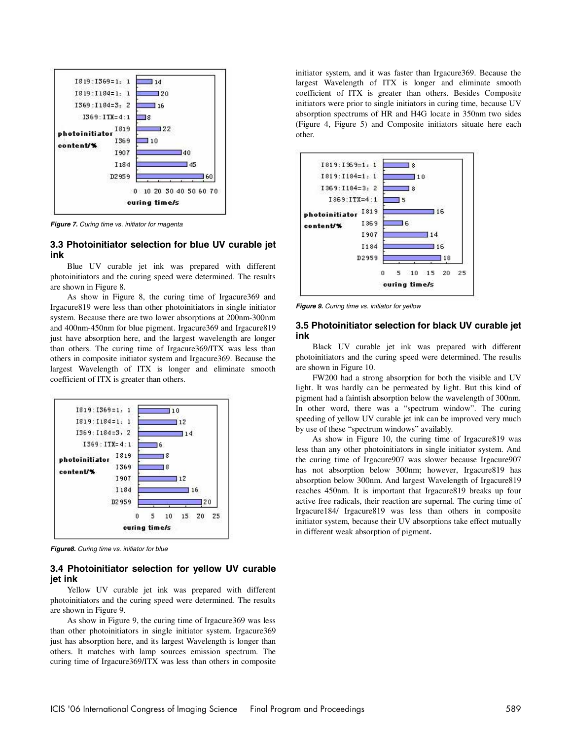

**Figure 7.** Curing time vs. initiator for magenta

#### **3.3 Photoinitiator selection for blue UV curable jet ink**

Blue UV curable jet ink was prepared with different photoinitiators and the curing speed were determined. The results are shown in Figure 8.

As show in Figure 8, the curing time of Irgacure369 and Irgacure819 were less than other photoinitiators in single initiator system. Because there are two lower absorptions at 200nm-300nm and 400nm-450nm for blue pigment. Irgacure369 and Irgacure819 just have absorption here, and the largest wavelength are longer than others. The curing time of Irgacure369/ITX was less than others in composite initiator system and Irgacure369. Because the largest Wavelength of ITX is longer and eliminate smooth coefficient of ITX is greater than others.



**Figure8.** Curing time vs. initiator for blue

## **3.4 Photoinitiator selection for yellow UV curable jet ink**

Yellow UV curable jet ink was prepared with different photoinitiators and the curing speed were determined. The results are shown in Figure 9.

As show in Figure 9, the curing time of Irgacure369 was less than other photoinitiators in single initiator system. Irgacure369 just has absorption here, and its largest Wavelength is longer than others. It matches with lamp sources emission spectrum. The curing time of Irgacure369/ITX was less than others in composite initiator system, and it was faster than Irgacure369. Because the largest Wavelength of ITX is longer and eliminate smooth coefficient of ITX is greater than others. Besides Composite initiators were prior to single initiators in curing time, because UV absorption spectrums of HR and H4G locate in 350nm two sides (Figure 4, Figure 5) and Composite initiators situate here each other.



**Figure 9.** Curing time vs. initiator for yellow

#### **3.5 Photoinitiator selection for black UV curable jet ink**

Black UV curable jet ink was prepared with different photoinitiators and the curing speed were determined. The results are shown in Figure 10.

FW200 had a strong absorption for both the visible and UV light. It was hardly can be permeated by light. But this kind of pigment had a faintish absorption below the wavelength of 300nm. In other word, there was a "spectrum window". The curing speeding of yellow UV curable jet ink can be improved very much by use of these "spectrum windows" availably.

As show in Figure 10, the curing time of Irgacure819 was less than any other photoinitiators in single initiator system. And the curing time of Irgacure907 was slower because Irgacure907 has not absorption below 300nm; however, Irgacure819 has absorption below 300nm. And largest Wavelength of Irgacure819 reaches 450nm. It is important that Irgacure819 breaks up four active free radicals, their reaction are supernal. The curing time of Irgacure184/ Irgacure819 was less than others in composite initiator system, because their UV absorptions take effect mutually in different weak absorption of pigment**.**